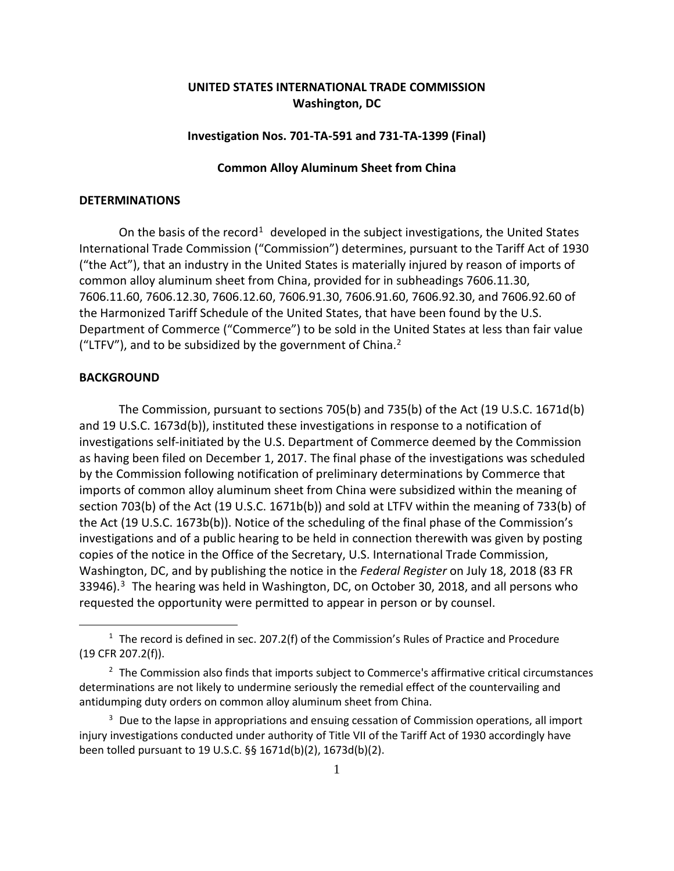# **UNITED STATES INTERNATIONAL TRADE COMMISSION Washington, DC**

## **Investigation Nos. 701-TA-591 and 731-TA-1399 (Final)**

## **Common Alloy Aluminum Sheet from China**

### **DETERMINATIONS**

On the basis of the record<sup>[1](#page-0-0)</sup> developed in the subject investigations, the United States International Trade Commission ("Commission") determines, pursuant to the Tariff Act of 1930 ("the Act"), that an industry in the United States is materially injured by reason of imports of common alloy aluminum sheet from China, provided for in subheadings 7606.11.30, 7606.11.60, 7606.12.30, 7606.12.60, 7606.91.30, 7606.91.60, 7606.92.30, and 7606.92.60 of the Harmonized Tariff Schedule of the United States, that have been found by the U.S. Department of Commerce ("Commerce") to be sold in the United States at less than fair value ("LTFV"), and to be subsidized by the government of China.<sup>[2](#page-0-1)</sup>

### **BACKGROUND**

 $\overline{a}$ 

The Commission, pursuant to sections 705(b) and 735(b) of the Act (19 U.S.C. 1671d(b) and 19 U.S.C. 1673d(b)), instituted these investigations in response to a notification of investigations self-initiated by the U.S. Department of Commerce deemed by the Commission as having been filed on December 1, 2017. The final phase of the investigations was scheduled by the Commission following notification of preliminary determinations by Commerce that imports of common alloy aluminum sheet from China were subsidized within the meaning of section 703(b) of the Act (19 U.S.C. 1671b(b)) and sold at LTFV within the meaning of 733(b) of the Act (19 U.S.C. 1673b(b)). Notice of the scheduling of the final phase of the Commission's investigations and of a public hearing to be held in connection therewith was given by posting copies of the notice in the Office of the Secretary, U.S. International Trade Commission, Washington, DC, and by publishing the notice in the *Federal Register* on July 18, 2018 (83 FR [3](#page-0-2)3946).<sup>3</sup> The hearing was held in Washington, DC, on October 30, 2018, and all persons who requested the opportunity were permitted to appear in person or by counsel.

<span id="page-0-0"></span> $1$  The record is defined in sec. 207.2(f) of the Commission's Rules of Practice and Procedure (19 CFR 207.2(f)).

<span id="page-0-1"></span><sup>&</sup>lt;sup>2</sup> The Commission also finds that imports subject to Commerce's affirmative critical circumstances determinations are not likely to undermine seriously the remedial effect of the countervailing and antidumping duty orders on common alloy aluminum sheet from China.

<span id="page-0-2"></span> $3$  Due to the lapse in appropriations and ensuing cessation of Commission operations, all import injury investigations conducted under authority of Title VII of the Tariff Act of 1930 accordingly have been tolled pursuant to 19 U.S.C. §§ 1671d(b)(2), 1673d(b)(2).